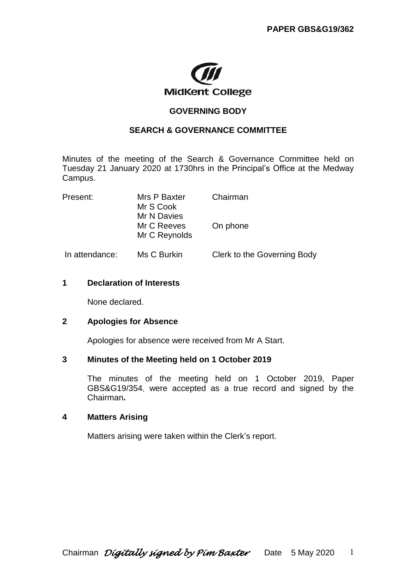

# **GOVERNING BODY**

## **SEARCH & GOVERNANCE COMMITTEE**

Minutes of the meeting of the Search & Governance Committee held on Tuesday 21 January 2020 at 1730hrs in the Principal's Office at the Medway Campus.

| Present:       | Mrs P Baxter<br>Mr S Cook                   | Chairman                    |
|----------------|---------------------------------------------|-----------------------------|
|                | Mr N Davies<br>Mr C Reeves<br>Mr C Reynolds | On phone                    |
| In attendance: | Ms C Burkin                                 | Clerk to the Governing Body |

### **1 Declaration of Interests**

None declared.

### **2 Apologies for Absence**

Apologies for absence were received from Mr A Start.

### **3 Minutes of the Meeting held on 1 October 2019**

The minutes of the meeting held on 1 October 2019, Paper GBS&G19/354, were accepted as a true record and signed by the Chairman**.** 

### **4 Matters Arising**

Matters arising were taken within the Clerk's report.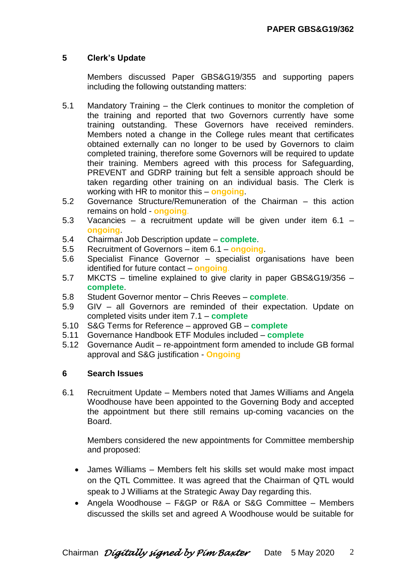# **5 Clerk's Update**

Members discussed Paper GBS&G19/355 and supporting papers including the following outstanding matters:

- 5.1 Mandatory Training the Clerk continues to monitor the completion of the training and reported that two Governors currently have some training outstanding. These Governors have received reminders. Members noted a change in the College rules meant that certificates obtained externally can no longer to be used by Governors to claim completed training, therefore some Governors will be required to update their training. Members agreed with this process for Safeguarding, PREVENT and GDRP training but felt a sensible approach should be taken regarding other training on an individual basis. The Clerk is working with HR to monitor this – **ongoing**.
- 5.2 Governance Structure/Remuneration of the Chairman this action remains on hold - **ongoing**.
- 5.3 Vacancies a recruitment update will be given under item 6.1 **ongoing**.
- 5.4 Chairman Job Description update **complete**.
- 5.5 Recruitment of Governors item 6.1 **ongoing**.
- 5.6 Specialist Finance Governor specialist organisations have been identified for future contact – **ongoing**.
- 5.7 MKCTS timeline explained to give clarity in paper GBS&G19/356 **complete**.
- 5.8 Student Governor mentor Chris Reeves **complete**.
- 5.9 GIV all Governors are reminded of their expectation. Update on completed visits under item 7.1 – **complete**
- 5.10 S&G Terms for Reference approved GB **complete**
- 5.11 Governance Handbook ETF Modules included **complete**
- 5.12 Governance Audit re-appointment form amended to include GB formal approval and S&G justification - **Ongoing**

### **6 Search Issues**

6.1 Recruitment Update – Members noted that James Williams and Angela Woodhouse have been appointed to the Governing Body and accepted the appointment but there still remains up-coming vacancies on the Board.

Members considered the new appointments for Committee membership and proposed:

- James Williams Members felt his skills set would make most impact on the QTL Committee. It was agreed that the Chairman of QTL would speak to J Williams at the Strategic Away Day regarding this.
- Angela Woodhouse F&GP or R&A or S&G Committee Members discussed the skills set and agreed A Woodhouse would be suitable for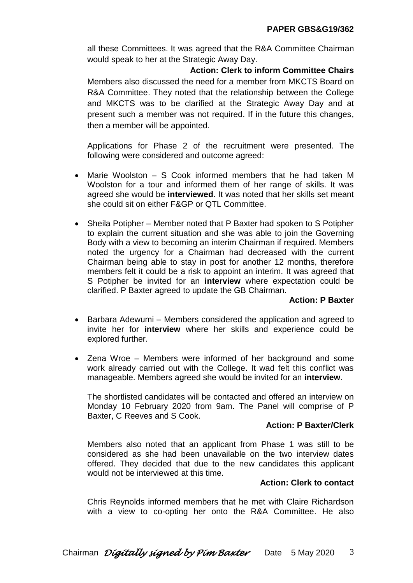all these Committees. It was agreed that the R&A Committee Chairman would speak to her at the Strategic Away Day.

**Action: Clerk to inform Committee Chairs** Members also discussed the need for a member from MKCTS Board on R&A Committee. They noted that the relationship between the College and MKCTS was to be clarified at the Strategic Away Day and at present such a member was not required. If in the future this changes, then a member will be appointed.

Applications for Phase 2 of the recruitment were presented. The following were considered and outcome agreed:

- Marie Woolston S Cook informed members that he had taken M Woolston for a tour and informed them of her range of skills. It was agreed she would be **interviewed**. It was noted that her skills set meant she could sit on either F&GP or QTL Committee.
- Sheila Potipher Member noted that P Baxter had spoken to S Potipher to explain the current situation and she was able to join the Governing Body with a view to becoming an interim Chairman if required. Members noted the urgency for a Chairman had decreased with the current Chairman being able to stay in post for another 12 months, therefore members felt it could be a risk to appoint an interim. It was agreed that S Potipher be invited for an **interview** where expectation could be clarified. P Baxter agreed to update the GB Chairman.

## **Action: P Baxter**

- Barbara Adewumi Members considered the application and agreed to invite her for **interview** where her skills and experience could be explored further.
- Zena Wroe Members were informed of her background and some work already carried out with the College. It wad felt this conflict was manageable. Members agreed she would be invited for an **interview**.

The shortlisted candidates will be contacted and offered an interview on Monday 10 February 2020 from 9am. The Panel will comprise of P Baxter, C Reeves and S Cook.

### **Action: P Baxter/Clerk**

Members also noted that an applicant from Phase 1 was still to be considered as she had been unavailable on the two interview dates offered. They decided that due to the new candidates this applicant would not be interviewed at this time.

### **Action: Clerk to contact**

Chris Reynolds informed members that he met with Claire Richardson with a view to co-opting her onto the R&A Committee. He also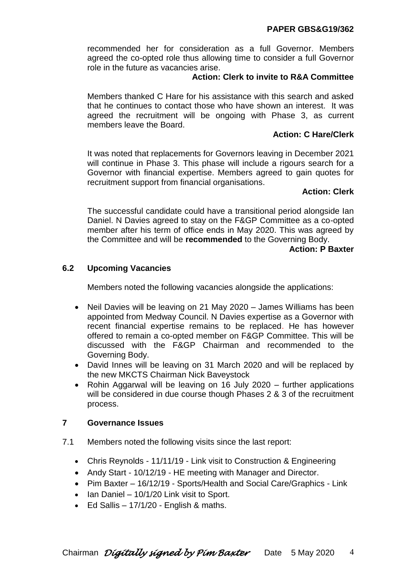# **PAPER GBS&G19/362**

recommended her for consideration as a full Governor. Members agreed the co-opted role thus allowing time to consider a full Governor role in the future as vacancies arise.

# **Action: Clerk to invite to R&A Committee**

Members thanked C Hare for his assistance with this search and asked that he continues to contact those who have shown an interest. It was agreed the recruitment will be ongoing with Phase 3, as current members leave the Board.

# **Action: C Hare/Clerk**

It was noted that replacements for Governors leaving in December 2021 will continue in Phase 3. This phase will include a rigours search for a Governor with financial expertise. Members agreed to gain quotes for recruitment support from financial organisations.

## **Action: Clerk**

The successful candidate could have a transitional period alongside Ian Daniel. N Davies agreed to stay on the F&GP Committee as a co-opted member after his term of office ends in May 2020. This was agreed by the Committee and will be **recommended** to the Governing Body.

## **Action: P Baxter**

# **6.2 Upcoming Vacancies**

Members noted the following vacancies alongside the applications:

- Neil Davies will be leaving on 21 May 2020 James Williams has been appointed from Medway Council. N Davies expertise as a Governor with recent financial expertise remains to be replaced. He has however offered to remain a co-opted member on F&GP Committee. This will be discussed with the F&GP Chairman and recommended to the Governing Body.
- David Innes will be leaving on 31 March 2020 and will be replaced by the new MKCTS Chairman Nick Baveystock
- Rohin Aggarwal will be leaving on 16 July 2020 further applications will be considered in due course though Phases 2 & 3 of the recruitment process.

## **7 Governance Issues**

- 7.1 Members noted the following visits since the last report:
	- Chris Reynolds 11/11/19 Link visit to Construction & Engineering
	- Andy Start 10/12/19 HE meeting with Manager and Director.
	- Pim Baxter 16/12/19 Sports/Health and Social Care/Graphics Link
	- $\bullet$  lan Daniel 10/1/20 Link visit to Sport.
	- $\bullet$  Ed Sallis 17/1/20 English & maths.